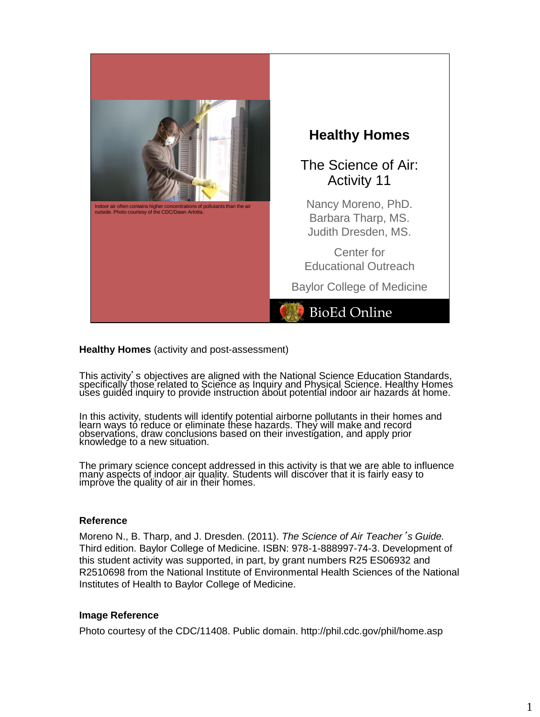

## **Healthy Homes** (activity and post-assessment)

This activity's objectives are aligned with the National Science Education Standards, specifically those related to Science as Inquiry and Physical Science. Healthy Homes uses guided inquiry to provide instruction about potential indoor air hazards at home.

In this activity, students will identify potential airborne pollutants in their homes and learn ways to reduce or eliminate these hazards. They will make and record observations, draw conclusions based on their investigation, and apply prior knowledge to a new situation.

The primary science concept addressed in this activity is that we are able to influence many aspects of indoor air quality. Students will discover that it is fairly easy to improve the quality of air in their homes.

## **Reference**

Moreno N., B. Tharp, and J. Dresden. (2011). *The Science of Air Teacher*'*s Guide.* Third edition. Baylor College of Medicine. ISBN: 978-1-888997-74-3. Development of this student activity was supported, in part, by grant numbers R25 ES06932 and R2510698 from the National Institute of Environmental Health Sciences of the National Institutes of Health to Baylor College of Medicine.

## **Image Reference**

Photo courtesy of the CDC/11408. Public domain. http://phil.cdc.gov/phil/home.asp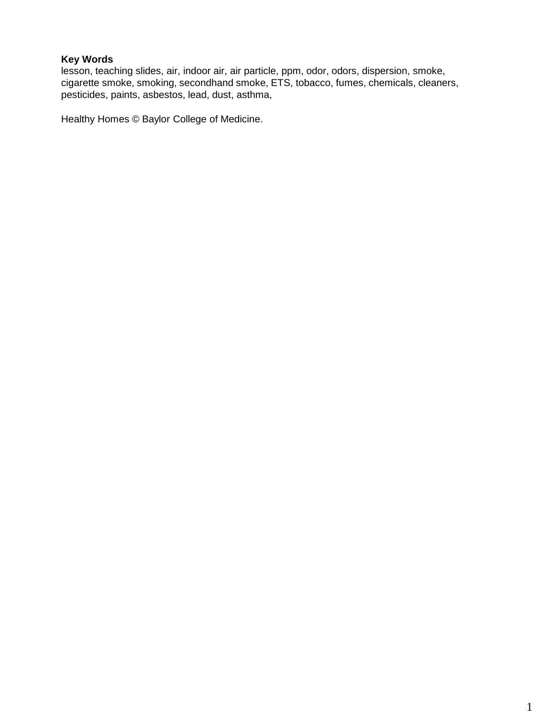# **Key Words**

lesson, teaching slides, air, indoor air, air particle, ppm, odor, odors, dispersion, smoke, cigarette smoke, smoking, secondhand smoke, ETS, tobacco, fumes, chemicals, cleaners, pesticides, paints, asbestos, lead, dust, asthma,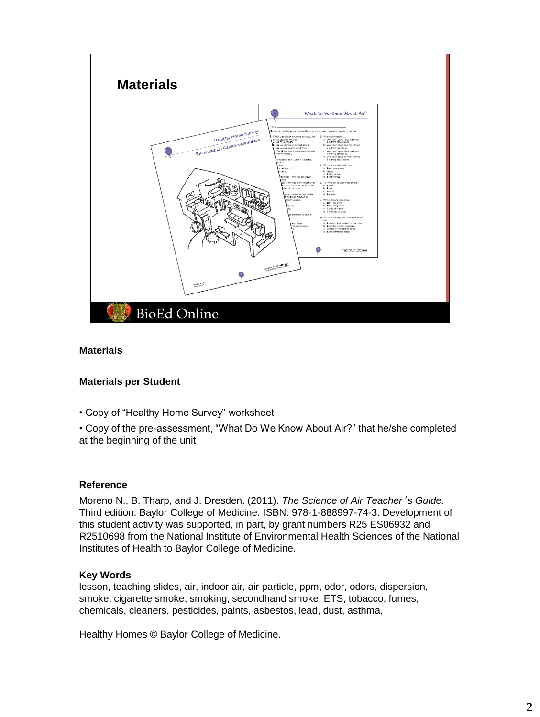

## **Materials**

## **Materials per Student**

• Copy of "Healthy Home Survey" worksheet

• Copy of the pre-assessment, "What Do We Know About Air?" that he/she completed at the beginning of the unit

## **Reference**

Moreno N., B. Tharp, and J. Dresden. (2011). *The Science of Air Teacher*'*s Guide.* Third edition. Baylor College of Medicine. ISBN: 978-1-888997-74-3. Development of this student activity was supported, in part, by grant numbers R25 ES06932 and R2510698 from the National Institute of Environmental Health Sciences of the National Institutes of Health to Baylor College of Medicine.

## **Key Words**

lesson, teaching slides, air, indoor air, air particle, ppm, odor, odors, dispersion, smoke, cigarette smoke, smoking, secondhand smoke, ETS, tobacco, fumes, chemicals, cleaners, pesticides, paints, asbestos, lead, dust, asthma,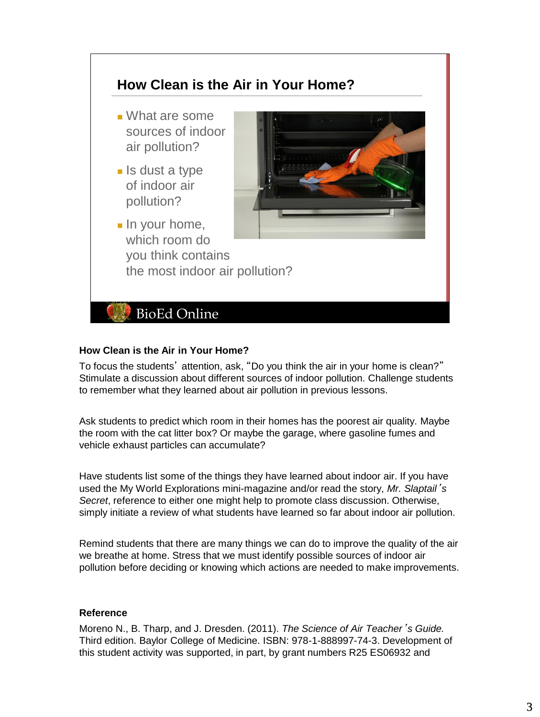

# **How Clean is the Air in Your Home?**

To focus the students' attention, ask, "Do you think the air in your home is clean?" Stimulate a discussion about different sources of indoor pollution. Challenge students to remember what they learned about air pollution in previous lessons.

Ask students to predict which room in their homes has the poorest air quality. Maybe the room with the cat litter box? Or maybe the garage, where gasoline fumes and vehicle exhaust particles can accumulate?

Have students list some of the things they have learned about indoor air. If you have used the My World Explorations mini-magazine and/or read the story, *Mr. Slaptail*'*s Secret*, reference to either one might help to promote class discussion. Otherwise, simply initiate a review of what students have learned so far about indoor air pollution.

Remind students that there are many things we can do to improve the quality of the air we breathe at home. Stress that we must identify possible sources of indoor air pollution before deciding or knowing which actions are needed to make improvements.

## **Reference**

Moreno N., B. Tharp, and J. Dresden. (2011). *The Science of Air Teacher*'*s Guide.* Third edition. Baylor College of Medicine. ISBN: 978-1-888997-74-3. Development of this student activity was supported, in part, by grant numbers R25 ES06932 and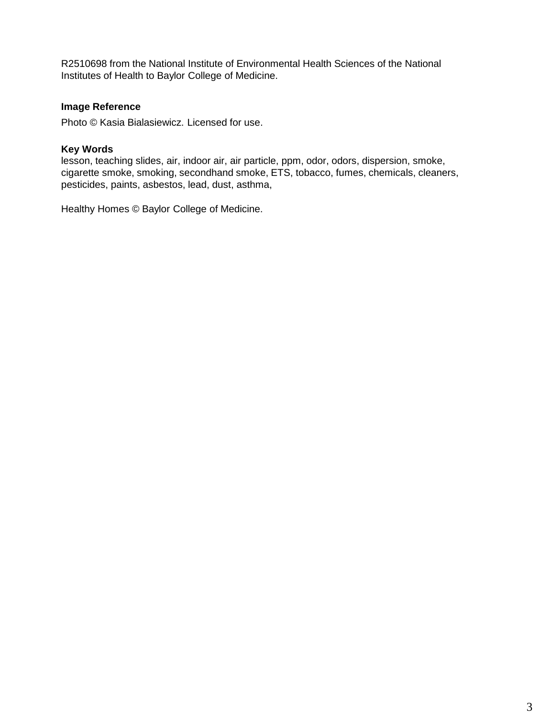R2510698 from the National Institute of Environmental Health Sciences of the National Institutes of Health to Baylor College of Medicine.

# **Image Reference**

Photo © Kasia Bialasiewicz. Licensed for use.

## **Key Words**

lesson, teaching slides, air, indoor air, air particle, ppm, odor, odors, dispersion, smoke, cigarette smoke, smoking, secondhand smoke, ETS, tobacco, fumes, chemicals, cleaners, pesticides, paints, asbestos, lead, dust, asthma,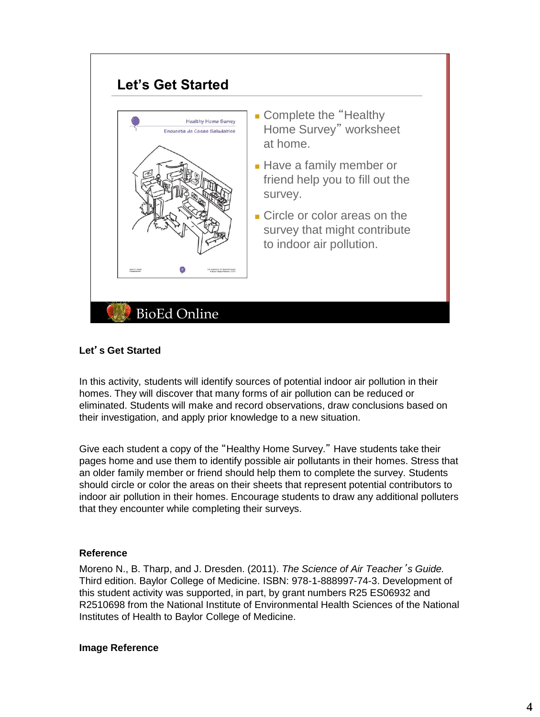

# **Let**'**s Get Started**

In this activity, students will identify sources of potential indoor air pollution in their homes. They will discover that many forms of air pollution can be reduced or eliminated. Students will make and record observations, draw conclusions based on their investigation, and apply prior knowledge to a new situation.

Give each student a copy of the "Healthy Home Survey." Have students take their pages home and use them to identify possible air pollutants in their homes. Stress that an older family member or friend should help them to complete the survey. Students should circle or color the areas on their sheets that represent potential contributors to indoor air pollution in their homes. Encourage students to draw any additional polluters that they encounter while completing their surveys.

## **Reference**

Moreno N., B. Tharp, and J. Dresden. (2011). *The Science of Air Teacher*'*s Guide.* Third edition. Baylor College of Medicine. ISBN: 978-1-888997-74-3. Development of this student activity was supported, in part, by grant numbers R25 ES06932 and R2510698 from the National Institute of Environmental Health Sciences of the National Institutes of Health to Baylor College of Medicine.

## **Image Reference**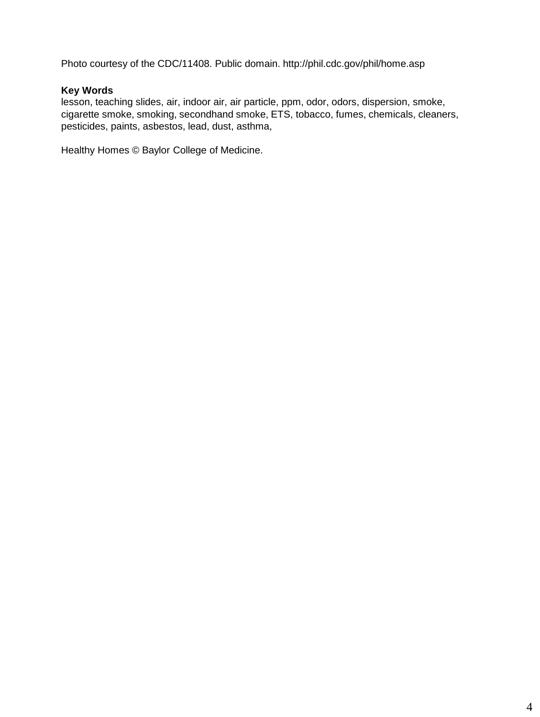Photo courtesy of the CDC/11408. Public domain. http://phil.cdc.gov/phil/home.asp

# **Key Words**

lesson, teaching slides, air, indoor air, air particle, ppm, odor, odors, dispersion, smoke, cigarette smoke, smoking, secondhand smoke, ETS, tobacco, fumes, chemicals, cleaners, pesticides, paints, asbestos, lead, dust, asthma,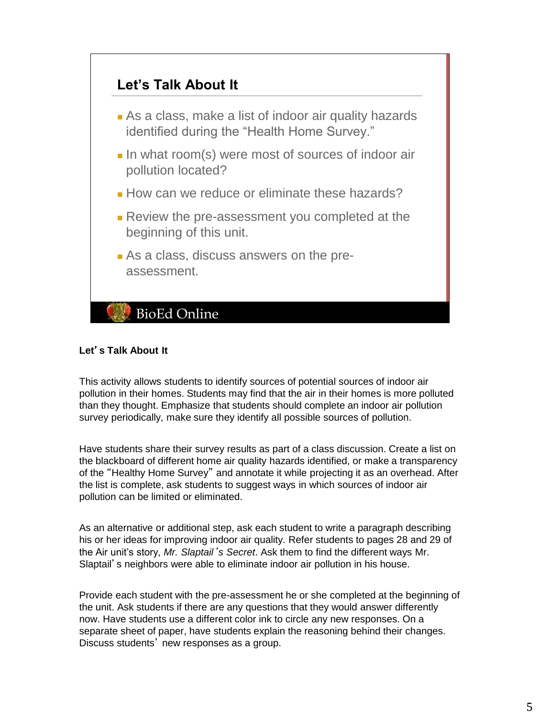

# **Let**'**s Talk About It**

This activity allows students to identify sources of potential sources of indoor air pollution in their homes. Students may find that the air in their homes is more polluted than they thought. Emphasize that students should complete an indoor air pollution survey periodically, make sure they identify all possible sources of pollution.

Have students share their survey results as part of a class discussion. Create a list on the blackboard of different home air quality hazards identified, or make a transparency of the "Healthy Home Survey" and annotate it while projecting it as an overhead. After the list is complete, ask students to suggest ways in which sources of indoor air pollution can be limited or eliminated.

As an alternative or additional step, ask each student to write a paragraph describing his or her ideas for improving indoor air quality. Refer students to pages 28 and 29 of the Air unit's story, *Mr. Slaptail*'*s Secret*. Ask them to find the different ways Mr. Slaptail's neighbors were able to eliminate indoor air pollution in his house.

Provide each student with the pre-assessment he or she completed at the beginning of the unit. Ask students if there are any questions that they would answer differently now. Have students use a different color ink to circle any new responses. On a separate sheet of paper, have students explain the reasoning behind their changes. Discuss students' new responses as a group.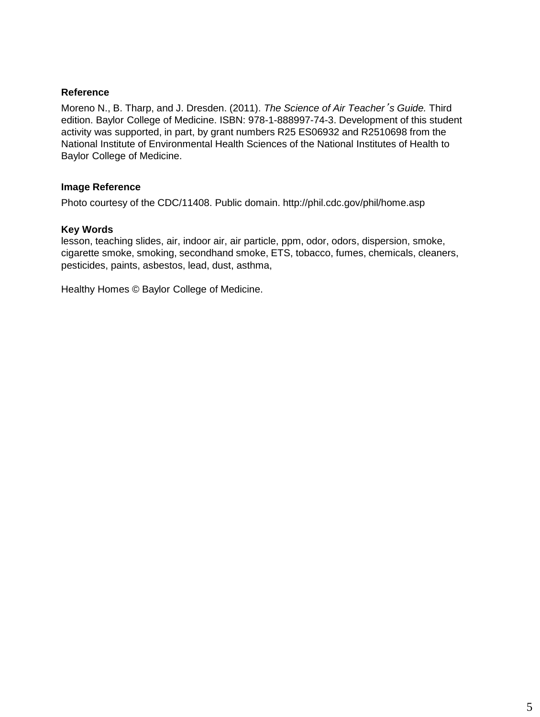## **Reference**

Moreno N., B. Tharp, and J. Dresden. (2011). *The Science of Air Teacher*'*s Guide.* Third edition. Baylor College of Medicine. ISBN: 978-1-888997-74-3. Development of this student activity was supported, in part, by grant numbers R25 ES06932 and R2510698 from the National Institute of Environmental Health Sciences of the National Institutes of Health to Baylor College of Medicine.

# **Image Reference**

Photo courtesy of the CDC/11408. Public domain. http://phil.cdc.gov/phil/home.asp

## **Key Words**

lesson, teaching slides, air, indoor air, air particle, ppm, odor, odors, dispersion, smoke, cigarette smoke, smoking, secondhand smoke, ETS, tobacco, fumes, chemicals, cleaners, pesticides, paints, asbestos, lead, dust, asthma,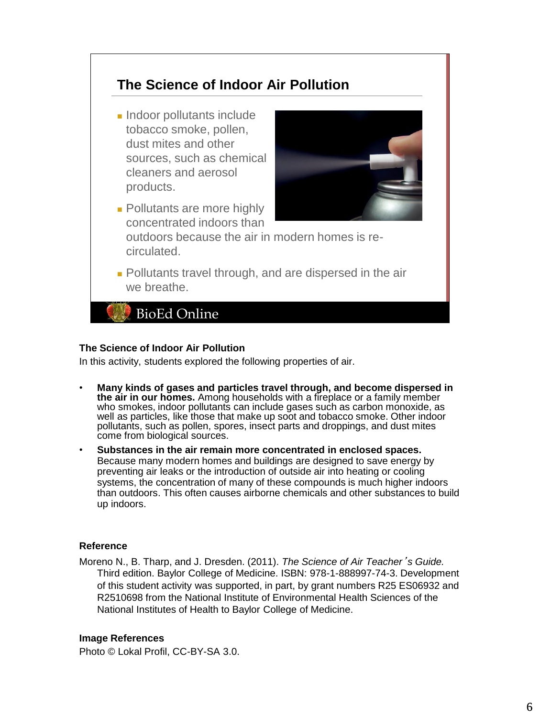# **The Science of Indoor Air Pollution**

■ Indoor pollutants include tobacco smoke, pollen, dust mites and other sources, such as chemical cleaners and aerosol products.



- Pollutants are more highly concentrated indoors than outdoors because the air in modern homes is recirculated.
- Pollutants travel through, and are dispersed in the air we breathe.

**BioEd Online** 

## **The Science of Indoor Air Pollution**

In this activity, students explored the following properties of air.

- **Many kinds of gases and particles travel through, and become dispersed in the air in our homes.** Among households with a fireplace or a family member who smokes, indoor pollutants can include gases such as carbon monoxide, as well as particles, like those that make up soot and tobacco smoke. Other indoor pollutants, such as pollen, spores, insect parts and droppings, and dust mites come from biological sources.
- **Substances in the air remain more concentrated in enclosed spaces.** Because many modern homes and buildings are designed to save energy by preventing air leaks or the introduction of outside air into heating or cooling systems, the concentration of many of these compounds is much higher indoors than outdoors. This often causes airborne chemicals and other substances to build up indoors.

## **Reference**

Moreno N., B. Tharp, and J. Dresden. (2011). *The Science of Air Teacher*'*s Guide.* Third edition. Baylor College of Medicine. ISBN: 978-1-888997-74-3. Development of this student activity was supported, in part, by grant numbers R25 ES06932 and R2510698 from the National Institute of Environmental Health Sciences of the National Institutes of Health to Baylor College of Medicine.

## **Image References**

Photo © Lokal Profil, CC-BY-SA 3.0.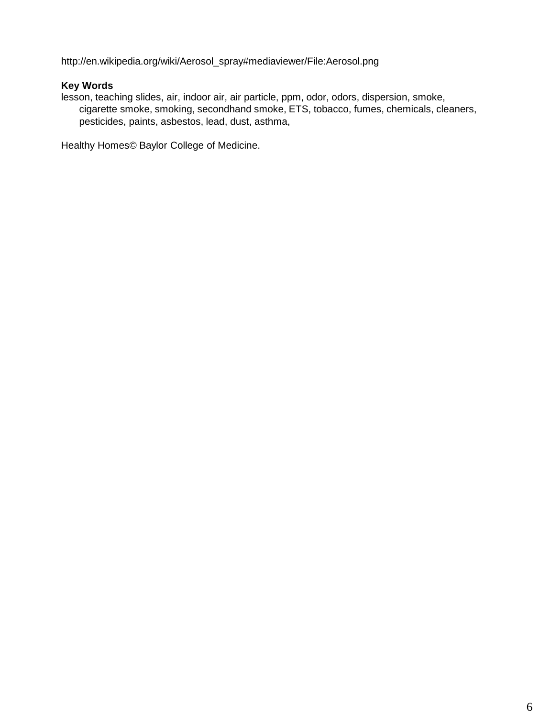http://en.wikipedia.org/wiki/Aerosol\_spray#mediaviewer/File:Aerosol.png

# **Key Words**

lesson, teaching slides, air, indoor air, air particle, ppm, odor, odors, dispersion, smoke, cigarette smoke, smoking, secondhand smoke, ETS, tobacco, fumes, chemicals, cleaners, pesticides, paints, asbestos, lead, dust, asthma,